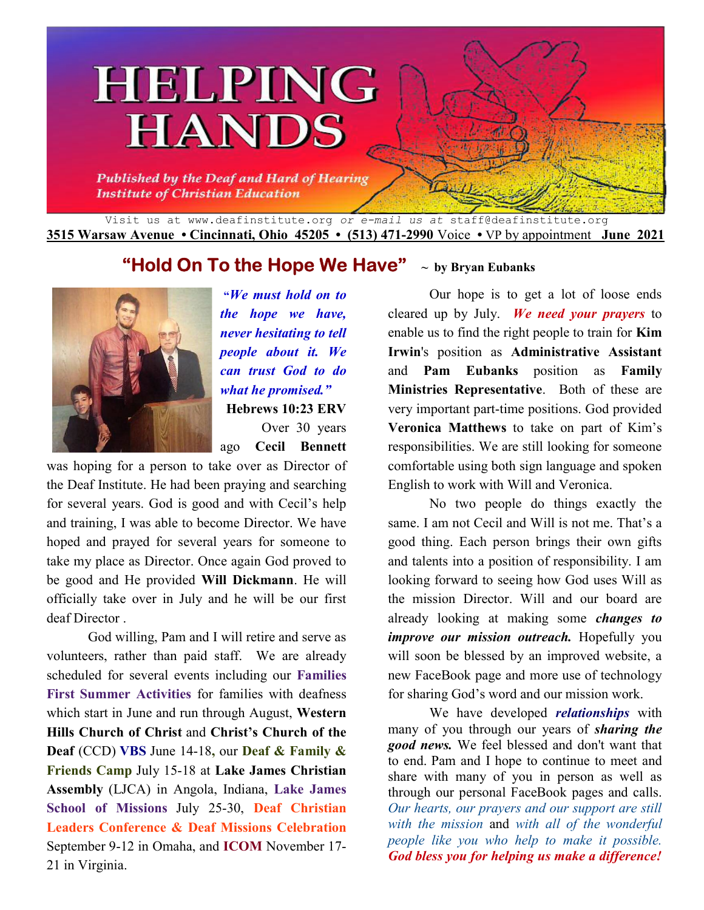# HELPING **HANDS**

**Published by the Deaf and Hard of Hearing Institute of Christian Education** 

Visit us at www.deafinstitute.org *or e-mail us at* staff@deafinstitute.org **3515 Warsaw Avenue • Cincinnati, Ohio 45205 • (513) 471-2990** Voice **•** VP by appointment **June 2021**

# **"Hold On To the Hope We Have" ~ by Bryan Eubanks**



**"***We must hold on to the hope we have, never hesitating to tell people about it. We can trust God to do what he promised."* **Hebrews 10:23 ERV** Over 30 years

ago **Cecil Bennett**

was hoping for a person to take over as Director of the Deaf Institute. He had been praying and searching for several years. God is good and with Cecil's help and training, I was able to become Director. We have hoped and prayed for several years for someone to take my place as Director. Once again God proved to be good and He provided **Will Dickmann**. He will officially take over in July and he will be our first deaf Director .

God willing, Pam and I will retire and serve as volunteers, rather than paid staff. We are already scheduled for several events including our **Families First Summer Activities** for families with deafness which start in June and run through August, **Western Hills Church of Christ** and **Christ's Church of the Deaf** (CCD) **VBS** June 14-18**,** our **Deaf & Family & Friends Camp** July 15-18 at **Lake James Christian Assembly** (LJCA) in Angola, Indiana, **Lake James School of Missions** July 25-30, **Deaf Christian Leaders Conference & Deaf Missions Celebration** September 9-12 in Omaha, and **ICOM** November 17- 21 in Virginia.

Our hope is to get a lot of loose ends cleared up by July. *We need your prayers* to enable us to find the right people to train for **Kim Irwin**'s position as **Administrative Assistant** and **Pam Eubanks** position as **Family Ministries Representative**. Both of these are very important part-time positions. God provided **Veronica Matthews** to take on part of Kim's responsibilities. We are still looking for someone comfortable using both sign language and spoken English to work with Will and Veronica.

No two people do things exactly the same. I am not Cecil and Will is not me. That's a good thing. Each person brings their own gifts and talents into a position of responsibility. I am looking forward to seeing how God uses Will as the mission Director. Will and our board are already looking at making some *changes to improve our mission outreach.* Hopefully you will soon be blessed by an improved website, a new FaceBook page and more use of technology for sharing God's word and our mission work.

 We have developed *relationships* with many of you through our years of *sharing the good news.* We feel blessed and don't want that to end. Pam and I hope to continue to meet and share with many of you in person as well as through our personal FaceBook pages and calls. *Our hearts, our prayers and our support are still with the mission* and *with all of the wonderful people like you who help to make it possible. God bless you for helping us make a difference!*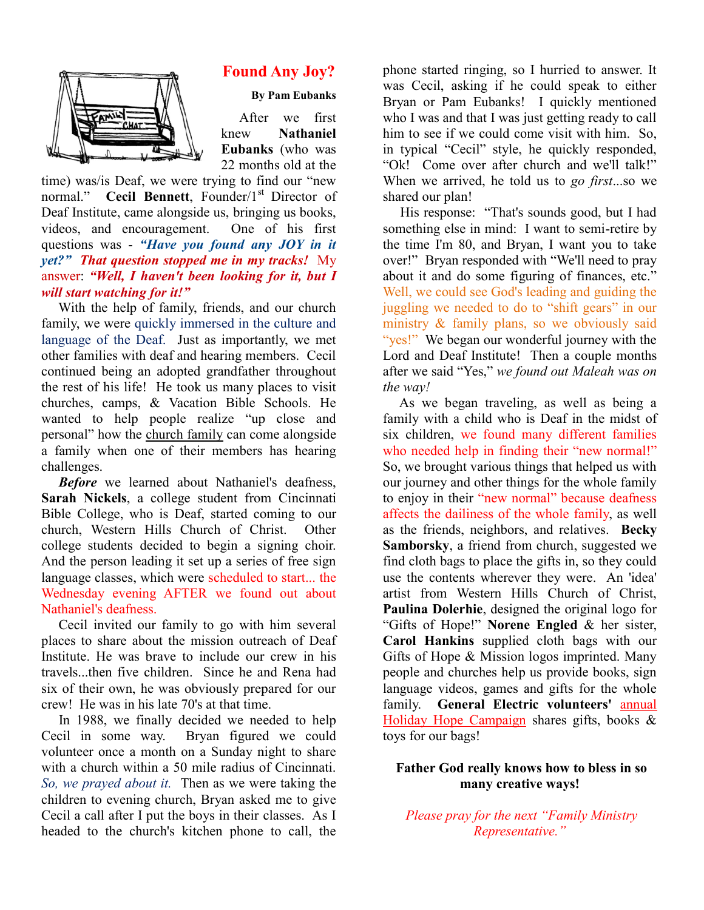

### **Found Any Joy? Found Any Joy?**

**By Pam Eubanks**

After we first knew **Eubanks** (who was 22 months old at the **Nathaniel** 

time) was/is Deaf, we were trying to find our "new 22 months old at the time) was/is Deaf, we were trying to find our "new normal." Cecil Bennett, Founder/1<sup>st</sup> Director of Deaf Institute, came alongside us, bringing us books, videos, and encouragement. One of his first videos, and encouragement. One of his first questions was - *"Have you found any JOY in it*  questions was - "*Have you found any JOY in it yet?"* That question stopped me in my tracks! My answer: "Well, I haven't been looking for it, but I *will start watching for it!"* 

With the help of family, friends, and our church family, we were quickly immersed in the culture and language of the Deaf. Just as importantly, we met other families with deaf and hearing members. Cecil continued being an adopted grandfather throughout the rest of his life! He took us many places to visit churches, camps, & Vacation Bible Schools. He wanted to help people realize "up close and personal" how the church family can come alongside a family when one of their members has hearing challenges. With the help of family, friends, and our church family, we were quickly immersed in the culture and language of the Deaf. Just as importantly, we met other families with deaf and hearing members. Cecil continued being an

*Before* we learned about Nathaniel's deafness, Sarah Nickels, a college student from Cincinnati Bible College, who is Deaf, started coming to our church, Western Hills Church of Christ. Other college students decided to begin a signing choir. And the person leading it set up a series of free sign language classes, which were scheduled to start... the Wednesday evening AFTER we found out about Nathaniel's deafness. Bible College, who is Deaf, started coming to our church, Western Hills Church of Christ. Other college students decided to begin a signing choir.<br>And the person leading it set up a series of free sign uled to start... the<br>found out about<br>with him several

Cecil invited our family to go with him sev places to share about the mission outreach of Deaf Institute. He was brave to include our crew in his travels...then five children. Since he and Rena had six of their own, he was obviously prepared for our crew! He was in his late 70's at that time. to share about the mission outreach of Deaf<br>te. He was brave to include our crew in his<br>...then five children. Since he and Rena had<br>their own, he was obviously prepared for our

In 1988, we finally decided we needed to help Cecil in some way. Bryan figured we could volunteer once a month on a Sunday night to share with a church within a 50 mile radius of Cincinnati. *So, we prayed about it.* Then as we were taking the children to evening church, Bryan asked me to give Cecil a call after I put the boys in their classes. As I headed to the church's kitchen phone to call, the was in his late 70's at that time.<br>
<sup>3</sup>, we finally decided we needed to help<br>
some way. Bryan figured we could<br>
bnce a month on a Sunday night to share<br>
rch within a 50 mile radius of Cincinnati.

was Cecil, asking if he could speak to either Bryan or Pam Eubanks! I quickly mentioned who I was and that I was just getting ready to call him to see if we could come visit with him. So, in typical "Cecil" style, he quickly responded, "Ok! Come over after church and we'll talk!" When we arrived, he told us to go first...so we shared our plan! ted ringing, so I hurried to answer. It<br>asking if he could speak to either<br>Pam Eubanks! I quickly mentioned<br>and that I was just getting ready to call to see if we could come visit with him. So, pical "Cecil" style, he quickly responded,<br>
Come over after church and we'll talk!"<br>
n we arrived, he told us to *go first*...so we

His response: "That's sounds good, but I had His response: "That's sounds good, but I had something else in mind: I want to semi-retire by the time I'm 80, and Bryan, I want you to take over!" Bryan responded with "We'll need to pray about it and do some figuring of finances, etc." Well, we could see God's leading and guiding the juggling we needed to do to "shift gears" in our ministry & family plans, so we obviously said "yes!" We began our wonderful journey with the "yes!" We began our wonderful journey with the Lord and Deaf Institute! Then a couple months after we said "Yes," we found out Maleah was on *the way!*  the time I'm 80, and Bryan, I want you to take<br>over!" Bryan responded with "We'll need to pray<br>about it and do some figuring of finances, etc."<br>Well, we could see God's leading and guiding the<br>juggling we needed to do to "

**Foundation By** the started ringing, as a bunively consistent of the phone started ringing, as the consistent of the phone started ringing in the consistent of the phone of the phone of the phone started ringing and the As we began traveling, as well as being a family with a child who is Deaf in the midst of six children, we found many different families family with a child who is Deaf in the midst of six children, we found many different families who needed help in finding their "new normal!" So, we brought various things that helped us with our journey and other things for the whole family to enjoy in their "new normal" because deafness affects the dailiness of the whole family, as well as the friends, neighbors, and relatives. Becky **Samborsky**, a friend from church, suggested we find cloth bags to place the gifts in, so they could use the contents wherever they were. An 'idea' artist from Western Hills Church of Christ, **Paulina Dolerhie**, designed the original logo for "Gifts of Hope!" Norene Engled & her sister, **Carol Hankins** supplied cloth bags with our **Carol Hankins** supplied cloth bags with our Gifts of Hope & Mission logos imprinted. Many people and churches help us provide books, sign books, language videos, games and gifts for the whole family. General Electric volunteers' **annual** Holiday Hope Campaign shares gifts, books & toys for our bags! for the whole family<br>al" because deafness<br>thole family, as well **theorsky**, a friend from church, suggested we cloth bags to place the gifts in, so they could the contents wherever they were. An 'idea' t from Western Hills Church of Christ, **lina Dolerhie**, designed the original logo f

#### **Father God really knows how to bless in so <br>many creative ways! many creative ways!**

*Please pray for the next "Family Ministry Representative."*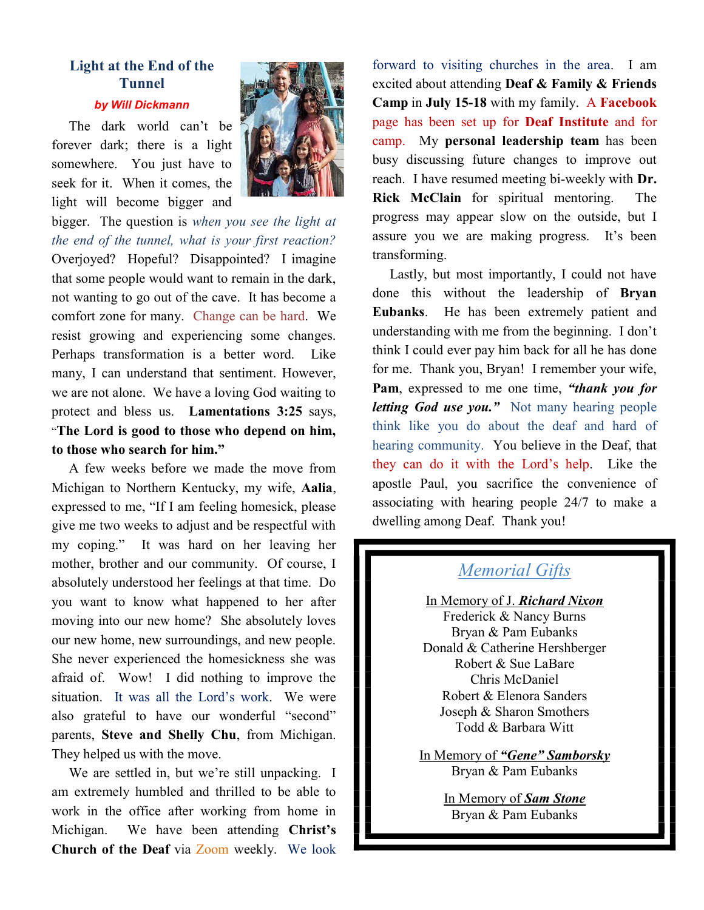# **Light at the End of the Tunnel**

#### *by Will Dickmann*

 The dark world can't be forever dark; there is a light somewhere. You just have to seek for it. When it comes, the light will become bigger and



bigger. The question is *when you see the light at the end of the tunnel, what is your first reaction?* Overjoyed? Hopeful? Disappointed? I imagine that some people would want to remain in the dark, not wanting to go out of the cave. It has become a comfort zone for many. Change can be hard. We resist growing and experiencing some changes. Perhaps transformation is a better word. Like many, I can understand that sentiment. However, we are not alone. We have a loving God waiting to protect and bless us. **Lamentations 3:25** says, "**The Lord is good to those who depend on him, to those who search for him."**

 A few weeks before we made the move from Michigan to Northern Kentucky, my wife, **Aalia**, expressed to me, "If I am feeling homesick, please give me two weeks to adjust and be respectful with my coping." It was hard on her leaving her mother, brother and our community. Of course, I absolutely understood her feelings at that time. Do you want to know what happened to her after moving into our new home? She absolutely loves our new home, new surroundings, and new people. She never experienced the homesickness she was afraid of. Wow! I did nothing to improve the situation. It was all the Lord's work. We were also grateful to have our wonderful "second" parents, **Steve and Shelly Chu**, from Michigan. They helped us with the move.

 We are settled in, but we're still unpacking. I am extremely humbled and thrilled to be able to work in the office after working from home in Michigan. We have been attending **Christ's Church of the Deaf** via Zoom weekly. We look

forward to visiting churches in the area. I am excited about attending **Deaf & Family & Friends Camp** in **July 15-18** with my family. A **Facebook** page has been set up for **Deaf Institute** and for camp. My **personal leadership team** has been busy discussing future changes to improve out reach. I have resumed meeting bi-weekly with **Dr. Rick McClain** for spiritual mentoring. The progress may appear slow on the outside, but I assure you we are making progress. It's been transforming.

 Lastly, but most importantly, I could not have done this without the leadership of **Bryan Eubanks**. He has been extremely patient and understanding with me from the beginning. I don't think I could ever pay him back for all he has done for me. Thank you, Bryan! I remember your wife, **Pam**, expressed to me one time, *"thank you for letting God use you."* Not many hearing people think like you do about the deaf and hard of hearing community. You believe in the Deaf, that they can do it with the Lord's help. Like the apostle Paul, you sacrifice the convenience of associating with hearing people 24/7 to make a dwelling among Deaf. Thank you!

## *Memorial Gifts*

In Memory of J. *Richard Nixon* Frederick & Nancy Burns Bryan & Pam Eubanks Donald & Catherine Hershberger Robert & Sue LaBare Chris McDaniel Robert & Elenora Sanders Joseph & Sharon Smothers Todd & Barbara Witt

In Memory of *"Gene" Samborsky* Bryan & Pam Eubanks

> In Memory of *Sam Stone* Bryan & Pam Eubanks